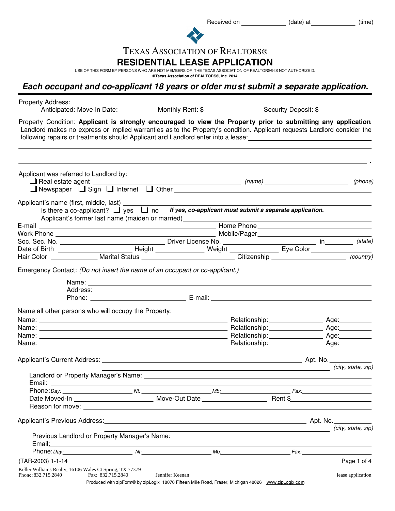Received on \_\_\_\_\_\_\_\_\_\_\_\_\_\_\_\_ (date) at \_\_\_\_\_\_\_\_\_\_\_\_\_\_ (time)



# TEXAS ASSOCIATION OF REALTORS®

### **RESIDENTIAL LEASE APPLICATION**

USE OF THIS FORM BY PERSONS WHO ARE NOT MEMBERS OF THE TEXAS ASSOCIATION OF REALTORS® IS NOT AUTHORIZE D.

**©Texas Association of REALTORS®, Inc. 2014**

## **Each occupant and co-applicant 18 years or older must submit a separate application.**

| Property Address: _<br>Anticipated: Move-in Date:____________ Monthly Rent: \$___________________ Security Deposit: \$___________                                                                                                                                                                                                                                                                                                                                      |                                                                                                                        |                                      |                   |
|------------------------------------------------------------------------------------------------------------------------------------------------------------------------------------------------------------------------------------------------------------------------------------------------------------------------------------------------------------------------------------------------------------------------------------------------------------------------|------------------------------------------------------------------------------------------------------------------------|--------------------------------------|-------------------|
| Property Condition: Applicant is strongly encouraged to view the Property prior to submitting any application<br>Landlord makes no express or implied warranties as to the Property's condition. Applicant requests Landlord consider the<br>following repairs or treatments should Applicant and Landlord enter into a lease: ____________________________                                                                                                            |                                                                                                                        |                                      |                   |
| Applicant was referred to Landlord by:                                                                                                                                                                                                                                                                                                                                                                                                                                 |                                                                                                                        |                                      |                   |
| Applicant's name (first, middle, last) _________<br>Is there a co-applicant? $\Box$ yes $\Box$ no If yes, co-applicant must submit a separate application.<br>Applicant's former last name (maiden or married) _______________________________                                                                                                                                                                                                                         |                                                                                                                        |                                      |                   |
|                                                                                                                                                                                                                                                                                                                                                                                                                                                                        |                                                                                                                        |                                      |                   |
|                                                                                                                                                                                                                                                                                                                                                                                                                                                                        |                                                                                                                        |                                      |                   |
|                                                                                                                                                                                                                                                                                                                                                                                                                                                                        |                                                                                                                        |                                      |                   |
|                                                                                                                                                                                                                                                                                                                                                                                                                                                                        |                                                                                                                        |                                      |                   |
| Hair Color ________________ Marital Status _______________________________Citizenship _______________________                                                                                                                                                                                                                                                                                                                                                          |                                                                                                                        |                                      | (country)         |
| Phone: National Management Communication Communication Communication Communication Communication Communication                                                                                                                                                                                                                                                                                                                                                         |                                                                                                                        |                                      |                   |
| Name all other persons who will occupy the Property:                                                                                                                                                                                                                                                                                                                                                                                                                   |                                                                                                                        |                                      |                   |
|                                                                                                                                                                                                                                                                                                                                                                                                                                                                        |                                                                                                                        |                                      |                   |
|                                                                                                                                                                                                                                                                                                                                                                                                                                                                        |                                                                                                                        |                                      |                   |
|                                                                                                                                                                                                                                                                                                                                                                                                                                                                        |                                                                                                                        |                                      |                   |
|                                                                                                                                                                                                                                                                                                                                                                                                                                                                        |                                                                                                                        |                                      |                   |
|                                                                                                                                                                                                                                                                                                                                                                                                                                                                        |                                                                                                                        |                                      |                   |
|                                                                                                                                                                                                                                                                                                                                                                                                                                                                        |                                                                                                                        | (city, state, zip)                   |                   |
|                                                                                                                                                                                                                                                                                                                                                                                                                                                                        |                                                                                                                        |                                      |                   |
|                                                                                                                                                                                                                                                                                                                                                                                                                                                                        |                                                                                                                        |                                      |                   |
|                                                                                                                                                                                                                                                                                                                                                                                                                                                                        |                                                                                                                        |                                      |                   |
| Previous Landlord or Property Manager's Name: Mannell Communication and Communication of Property Manager's Name: Mannell Communication and Communication and Communication and Communication and Communication and Communicat<br>Email: <u>contract and contract and contract and contract and contract and contract and contract and contract and contract and contract and contract and contract and contract and contract and contract and contract and contra</u> |                                                                                                                        | city, state, zip) (city, state, zip) |                   |
| Phone: Day: Nt: Nt: Mb: Mb: Fax:                                                                                                                                                                                                                                                                                                                                                                                                                                       |                                                                                                                        |                                      |                   |
| (TAR-2003) 1-1-14                                                                                                                                                                                                                                                                                                                                                                                                                                                      |                                                                                                                        |                                      | Page 1 of 4       |
| Keller Williams Realty, 16106 Wales Ct Spring, TX 77379<br>Phone: 832.715.2840<br>Fax: 832.715.2840                                                                                                                                                                                                                                                                                                                                                                    | Jennifer Keenan<br>Produced with zipForm® by zipLogix 18070 Fifteen Mile Road, Fraser, Michigan 48026 www.zipLogix.com |                                      | lease application |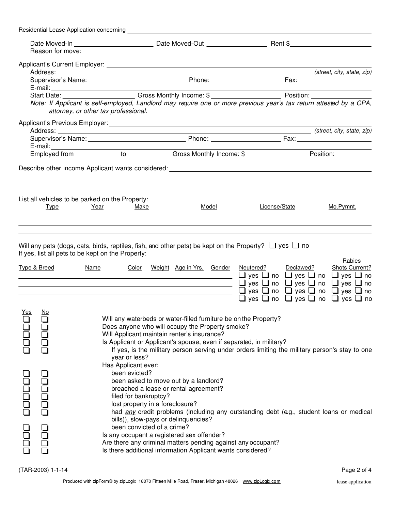|                     | Residential Lease Application concerning |                                                                                                                                                                                                                                                                                                                                                   |                                                                                                                                                                                                                                                                                                                                             |               |           |                                                                                                                                                                                                                                       |
|---------------------|------------------------------------------|---------------------------------------------------------------------------------------------------------------------------------------------------------------------------------------------------------------------------------------------------------------------------------------------------------------------------------------------------|---------------------------------------------------------------------------------------------------------------------------------------------------------------------------------------------------------------------------------------------------------------------------------------------------------------------------------------------|---------------|-----------|---------------------------------------------------------------------------------------------------------------------------------------------------------------------------------------------------------------------------------------|
|                     |                                          |                                                                                                                                                                                                                                                                                                                                                   |                                                                                                                                                                                                                                                                                                                                             |               |           |                                                                                                                                                                                                                                       |
|                     |                                          |                                                                                                                                                                                                                                                                                                                                                   |                                                                                                                                                                                                                                                                                                                                             |               |           |                                                                                                                                                                                                                                       |
|                     |                                          |                                                                                                                                                                                                                                                                                                                                                   |                                                                                                                                                                                                                                                                                                                                             |               |           |                                                                                                                                                                                                                                       |
|                     |                                          |                                                                                                                                                                                                                                                                                                                                                   |                                                                                                                                                                                                                                                                                                                                             |               |           |                                                                                                                                                                                                                                       |
|                     |                                          |                                                                                                                                                                                                                                                                                                                                                   |                                                                                                                                                                                                                                                                                                                                             |               |           |                                                                                                                                                                                                                                       |
|                     |                                          | Note: If Applicant is self-employed, Landlord may require one or more previous year's tax return attested by a CPA,<br>attorney, or other tax professional.                                                                                                                                                                                       |                                                                                                                                                                                                                                                                                                                                             |               |           |                                                                                                                                                                                                                                       |
|                     |                                          |                                                                                                                                                                                                                                                                                                                                                   |                                                                                                                                                                                                                                                                                                                                             |               |           |                                                                                                                                                                                                                                       |
|                     |                                          |                                                                                                                                                                                                                                                                                                                                                   |                                                                                                                                                                                                                                                                                                                                             |               |           |                                                                                                                                                                                                                                       |
|                     |                                          |                                                                                                                                                                                                                                                                                                                                                   |                                                                                                                                                                                                                                                                                                                                             |               |           |                                                                                                                                                                                                                                       |
|                     |                                          |                                                                                                                                                                                                                                                                                                                                                   |                                                                                                                                                                                                                                                                                                                                             |               |           |                                                                                                                                                                                                                                       |
|                     |                                          |                                                                                                                                                                                                                                                                                                                                                   |                                                                                                                                                                                                                                                                                                                                             |               |           |                                                                                                                                                                                                                                       |
|                     | Type                                     | List all vehicles to be parked on the Property:<br>Year<br>Make                                                                                                                                                                                                                                                                                   | Model                                                                                                                                                                                                                                                                                                                                       | License/State |           | Mo.Pymnt.                                                                                                                                                                                                                             |
|                     | Type & Breed                             | If yes, list all pets to be kept on the Property:<br><u>Name</u><br><u> 1989 - Jan Salaman Salaman (j. 1989)</u><br>the control of the control of the control of the control of the control of the control of the control of the control of the control of the control of the control of the control of the control of the control of the control | Color Weight Age in Yrs. Gender<br><u> 1980 - Johann Barn, mars ann an t-Amhain Aonaich an t-Aonaich an t-Aonaich ann an t-Aonaich ann an t-Aonaich</u>                                                                                                                                                                                     | Neutered?     | Declawed? | Rabies<br><b>Shots Current?</b><br>$\Box$ yes $\Box$ no $\Box$ yes $\Box$ no $\Box$ yes $\Box$ no<br>$\Box$ yes $\Box$ no $\Box$ yes $\Box$ no $\Box$ yes $\Box$ no<br>$\Box$ yes $\Box$ no $\Box$ yes $\Box$ no $\Box$ yes $\Box$ no |
|                     |                                          |                                                                                                                                                                                                                                                                                                                                                   |                                                                                                                                                                                                                                                                                                                                             |               |           | $\Box$ yes $\Box$ no $\Box$ yes $\Box$ no $\Box$ yes $\Box$ no                                                                                                                                                                        |
| <u>Yes</u>          | <u>No</u>                                | year or less?                                                                                                                                                                                                                                                                                                                                     | Will any waterbeds or water-filled furniture be on the Property?<br>Does anyone who will occupy the Property smoke?<br>Will Applicant maintain renter's insurance?<br>Is Applicant or Applicant's spouse, even if separated, in military?<br>If yes, is the military person serving under orders limiting the military person's stay to one |               |           |                                                                                                                                                                                                                                       |
| 00000<br><u>udh</u> | DOOOC<br>u<br>Do                         | Has Applicant ever:<br>been evicted?<br>filed for bankruptcy?<br>lost property in a foreclosure?<br>been convicted of a crime?                                                                                                                                                                                                                    | been asked to move out by a landlord?<br>breached a lease or rental agreement?<br>had any credit problems (including any outstanding debt (e.g., student loans or medical<br>bills)), slow-pays or delinquencies?<br>Is any occupant a registered sex offender?                                                                             |               |           |                                                                                                                                                                                                                                       |
|                     |                                          |                                                                                                                                                                                                                                                                                                                                                   | Are there any criminal matters pending against any occupant?<br>Is there additional information Applicant wants considered?                                                                                                                                                                                                                 |               |           |                                                                                                                                                                                                                                       |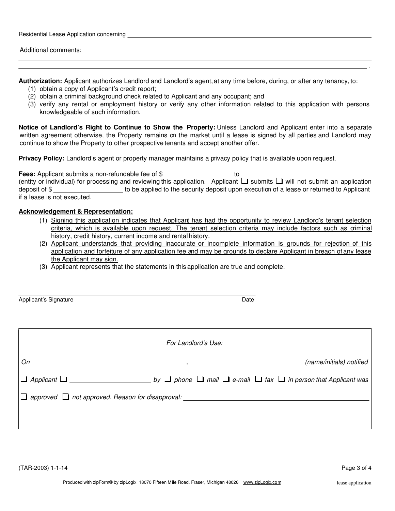| Residential Lease Application concerning |
|------------------------------------------|
|                                          |
| <b>Additional comments:</b>              |
|                                          |

**Authorization:** Applicant authorizes Landlord and Landlord's agent, at any time before, during, or after any tenancy, to:

- (1) obtain a copy of Applicant's credit report;
- (2) obtain a criminal background check related to Applicant and any occupant; and
- (3) verify any rental or employment history or verify any other information related to this application with persons knowledgeable of such information.

**Notice of Landlord's Right to Continue to Show the Property:** Unless Landlord and Applicant enter into a separate written agreement otherwise, the Property remains on the market until a lease is signed by all parties and Landlord may continue to show the Property to other prospective tenants and accept another offer.

**Privacy Policy:** Landlord's agent or property manager maintains a privacy policy that is available upon request.

**Fees:** Applicant submits a non-refundable fee of \$ (entity or individual) for processing and reviewing this application. Applicant Loubmits Louill not submit an application deposit of \$ to be applied to the security deposit upon execution of a lease or returned to Applicant if a lease is not executed.

#### **Acknowledgement & Representation:**

- (1) Signing this application indicates that Applicant has had the opportunity to review Landlord's tenant selection criteria, which is available upon request. The tenant selection criteria may include factors such as criminal history, credit history, current income and rental history.
- (2) Applicant understands that providing inaccurate or incomplete information is grounds for rejection of this application and forfeiture of any application fee and may be grounds to declare Applicant in breach of any lease the Applicant may sign.
- (3) Applicant represents that the statements in this application are true and complete.

Applicant's Signature **Date Date Date Date Date Date Date Date Date Date** 

| For Landlord's Use: |  |                          |  |  |
|---------------------|--|--------------------------|--|--|
| $On \_\_$           |  | (name/initials) notified |  |  |
|                     |  |                          |  |  |
|                     |  |                          |  |  |
|                     |  |                          |  |  |
|                     |  |                          |  |  |

.